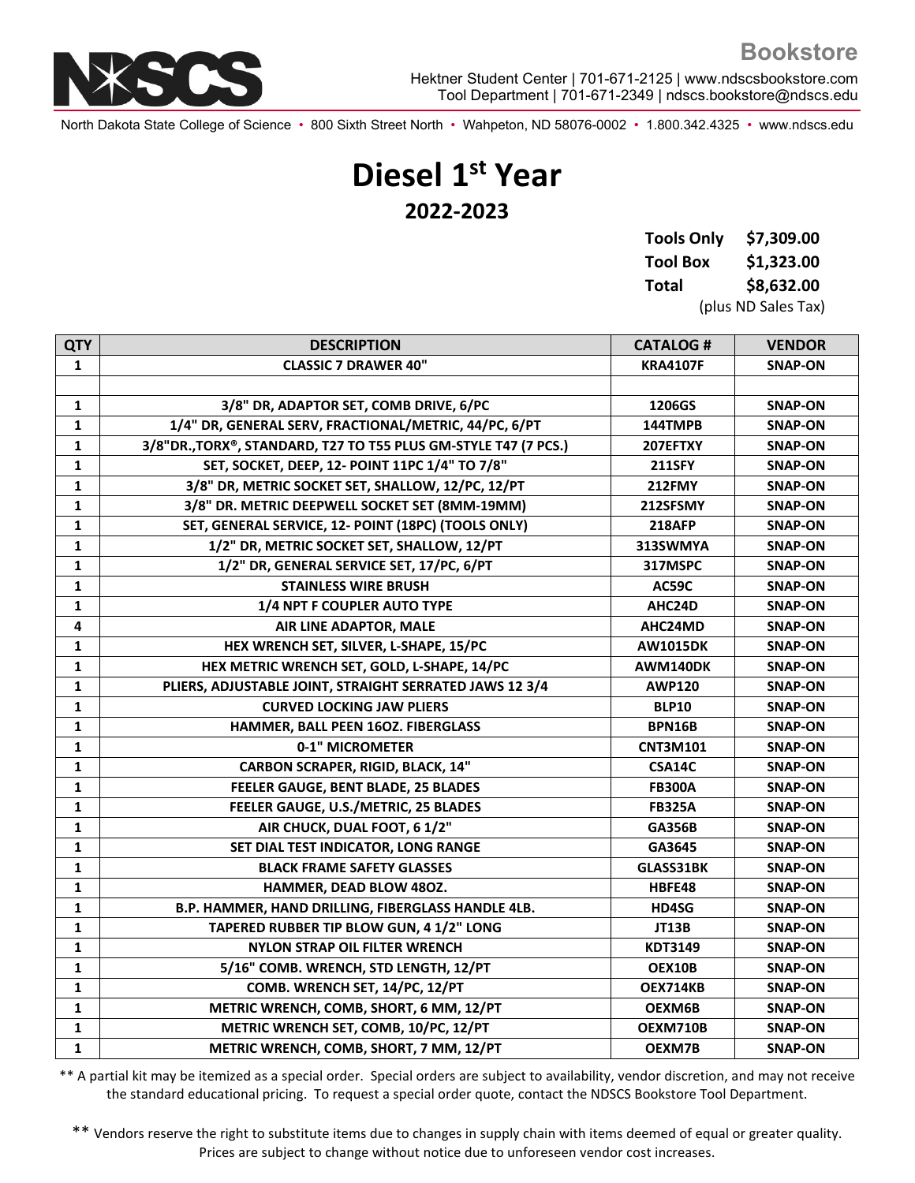

North Dakota State College of Science • 800 Sixth Street North • Wahpeton, ND 58076-0002 • 1.800.342.4325 • www.ndscs.edu

## **Diesel 1st Year 2022-2023**

| <b>Tools Only</b> | \$7,309.00          |  |
|-------------------|---------------------|--|
| <b>Tool Box</b>   | \$1,323.00          |  |
| Total             | \$8,632.00          |  |
|                   | (plus ND Sales Tax) |  |

| <b>QTY</b>   | <b>DESCRIPTION</b>                                              | <b>CATALOG#</b> | <b>VENDOR</b>  |
|--------------|-----------------------------------------------------------------|-----------------|----------------|
| 1            | <b>CLASSIC 7 DRAWER 40"</b>                                     | <b>KRA4107F</b> | <b>SNAP-ON</b> |
|              |                                                                 |                 |                |
| $\mathbf{1}$ | 3/8" DR, ADAPTOR SET, COMB DRIVE, 6/PC                          | 1206GS          | <b>SNAP-ON</b> |
| 1            | 1/4" DR, GENERAL SERV, FRACTIONAL/METRIC, 44/PC, 6/PT           | 144TMPB         | <b>SNAP-ON</b> |
| 1            | 3/8"DR., TORX®, STANDARD, T27 TO T55 PLUS GM-STYLE T47 (7 PCS.) | 207EFTXY        | <b>SNAP-ON</b> |
| $\mathbf{1}$ | SET, SOCKET, DEEP, 12- POINT 11PC 1/4" TO 7/8"                  | <b>211SFY</b>   | <b>SNAP-ON</b> |
| $\mathbf{1}$ | 3/8" DR, METRIC SOCKET SET, SHALLOW, 12/PC, 12/PT               | <b>212FMY</b>   | <b>SNAP-ON</b> |
| $\mathbf{1}$ | 3/8" DR. METRIC DEEPWELL SOCKET SET (8MM-19MM)                  | 212SFSMY        | <b>SNAP-ON</b> |
| $\mathbf{1}$ | SET, GENERAL SERVICE, 12- POINT (18PC) (TOOLS ONLY)             | <b>218AFP</b>   | <b>SNAP-ON</b> |
| $\mathbf{1}$ | 1/2" DR, METRIC SOCKET SET, SHALLOW, 12/PT                      | 313SWMYA        | <b>SNAP-ON</b> |
| $\mathbf{1}$ | 1/2" DR, GENERAL SERVICE SET, 17/PC, 6/PT                       | 317MSPC         | SNAP-ON        |
| $\mathbf{1}$ | <b>STAINLESS WIRE BRUSH</b>                                     | AC59C           | <b>SNAP-ON</b> |
| 1            | 1/4 NPT F COUPLER AUTO TYPE                                     | AHC24D          | SNAP-ON        |
| 4            | AIR LINE ADAPTOR, MALE                                          | AHC24MD         | <b>SNAP-ON</b> |
| 1            | HEX WRENCH SET, SILVER, L-SHAPE, 15/PC                          | <b>AW1015DK</b> | SNAP-ON        |
| $\mathbf{1}$ | HEX METRIC WRENCH SET, GOLD, L-SHAPE, 14/PC                     | AWM140DK        | <b>SNAP-ON</b> |
| 1            | PLIERS, ADJUSTABLE JOINT, STRAIGHT SERRATED JAWS 12 3/4         | <b>AWP120</b>   | <b>SNAP-ON</b> |
| 1            | <b>CURVED LOCKING JAW PLIERS</b>                                | <b>BLP10</b>    | <b>SNAP-ON</b> |
| $\mathbf{1}$ | HAMMER, BALL PEEN 16OZ. FIBERGLASS                              | <b>BPN16B</b>   | <b>SNAP-ON</b> |
| 1            | 0-1" MICROMETER                                                 | CNT3M101        | <b>SNAP-ON</b> |
| 1            | <b>CARBON SCRAPER, RIGID, BLACK, 14"</b>                        | <b>CSA14C</b>   | <b>SNAP-ON</b> |
| $\mathbf{1}$ | FEELER GAUGE, BENT BLADE, 25 BLADES                             | <b>FB300A</b>   | <b>SNAP-ON</b> |
| $\mathbf{1}$ | FEELER GAUGE, U.S./METRIC, 25 BLADES                            | <b>FB325A</b>   | <b>SNAP-ON</b> |
| $\mathbf{1}$ | AIR CHUCK, DUAL FOOT, 6 1/2"                                    | <b>GA356B</b>   | <b>SNAP-ON</b> |
| $\mathbf{1}$ | SET DIAL TEST INDICATOR, LONG RANGE                             | GA3645          | <b>SNAP-ON</b> |
| $\mathbf{1}$ | <b>BLACK FRAME SAFETY GLASSES</b>                               | GLASS31BK       | <b>SNAP-ON</b> |
| $\mathbf{1}$ | HAMMER, DEAD BLOW 480Z.                                         | HBFE48          | <b>SNAP-ON</b> |
| 1            | B.P. HAMMER, HAND DRILLING, FIBERGLASS HANDLE 4LB.              | HD4SG           | <b>SNAP-ON</b> |
| 1            | TAPERED RUBBER TIP BLOW GUN, 4 1/2" LONG                        | <b>JT13B</b>    | <b>SNAP-ON</b> |
| $\mathbf{1}$ | <b>NYLON STRAP OIL FILTER WRENCH</b>                            | KDT3149         | <b>SNAP-ON</b> |
| 1            | 5/16" COMB. WRENCH, STD LENGTH, 12/PT                           | OEX10B          | <b>SNAP-ON</b> |
| 1            | COMB. WRENCH SET, 14/PC, 12/PT                                  | OEX714KB        | <b>SNAP-ON</b> |
| 1            | METRIC WRENCH, COMB, SHORT, 6 MM, 12/PT                         | OEXM6B          | SNAP-ON        |
| 1            | METRIC WRENCH SET, COMB, 10/PC, 12/PT                           | OEXM710B        | <b>SNAP-ON</b> |
| $\mathbf{1}$ | METRIC WRENCH, COMB, SHORT, 7 MM, 12/PT                         | OEXM7B          | <b>SNAP-ON</b> |
|              |                                                                 |                 |                |

\*\* A partial kit may be itemized as a special order. Special orders are subject to availability, vendor discretion, and may not receive the standard educational pricing. To request a special order quote, contact the NDSCS Bookstore Tool Department.

\*\* Vendors reserve the right to substitute items due to changes in supply chain with items deemed of equal or greater quality. Prices are subject to change without notice due to unforeseen vendor cost increases.